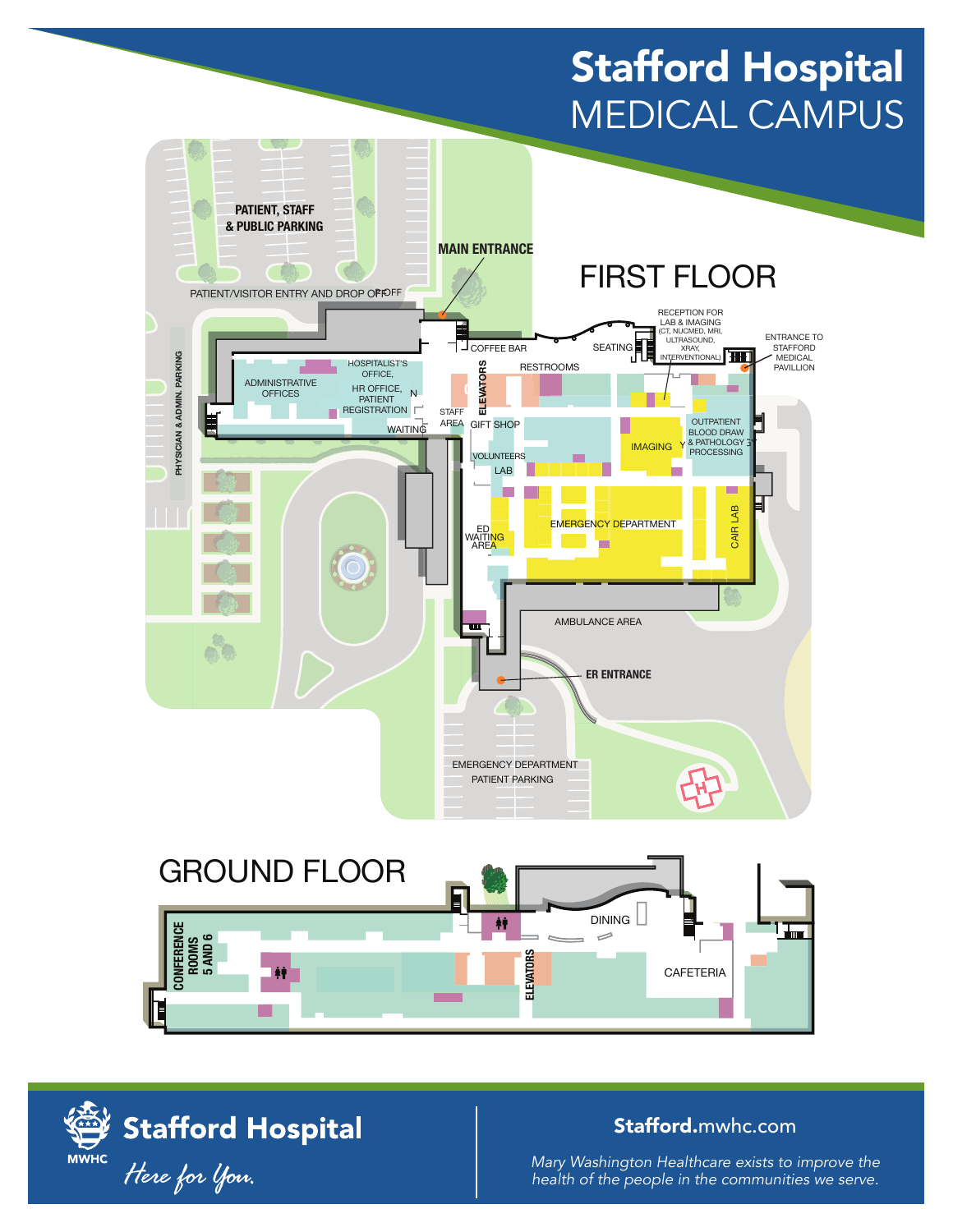## Stafford Hospital MEDICAL CAMPUS





## Stafford.mwhc.com

*Mary Washington Healthcare exists to improve the health of the people in the communities we serve.*